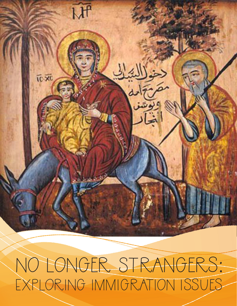No Longer Strangers: Exploring Immigration Issues

MP

**TC-XC**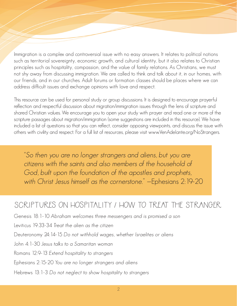Immigration is a complex and controversial issue with no easy answers. It relates to political notions such as territorial sovereignty, economic growth, and cultural identity, but it also relates to Christian principles such as hospitality, compassion, and the value of family relations. As Christians, we must not shy away from discussing immigration. We are called to think and talk about it, in our homes, with our friends, and in our churches. Adult forums or formation classes should be places where we can address difficult issues and exchange opinions with love and respect.

This resource can be used for personal study or group discussions. It is designed to encourage prayerful reflection and respectful discussion about migration/immigration issues through the lens of scripture and shared Christian values. We encourage you to open your study with prayer and read one or more of the scripture passages about migration/immigration (some suggestions are included in this resource). We have included a list of questions so that you can reflect, consider opposing viewpoints, and discuss the issue with others with civility and respect. For a full list of resources, please visit www.VenAdelante.org/NoStrangers.

"So then you are no longer strangers and aliens, but you are citizens with the saints and also members of the household of God, built upon the foundation of the apostles and prophets, with Christ Jesus himself as the cornerstone." —Ephesians 2:19-20

## Scriptures on Hospitality / How to Treat the Stranger

Genesis 18:1-10 Abraham welcomes three messengers and is promised a son

Leviticus 19:33-34 Treat the alien as the citizen

Deuteronomy 24:14-15 Do not withhold wages, whether Israelites or aliens

John 4:1-30 Jesus talks to a Samaritan woman

Romans 12:9-13 Extend hospitality to strangers

Ephesians 2:15-20 You are no longer strangers and aliens

#### Hebrews 13:1-3 Do not neglect to show hospitality to strangers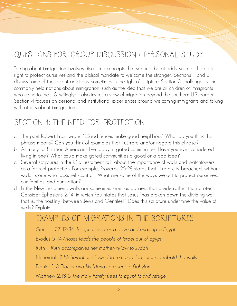# Questions for Group Discussion / Personal Study

Talking about immigration involves discussing concepts that seem to be at odds, such as the basic right to protect ourselves and the biblical mandate to welcome the stranger. Sections 1 and 2 discuss some of these contradictions, sometimes in the light of scripture. Section 3 challenges some commonly held notions about immigration, such as the idea that we are all children of immigrants who came to the U.S. willingly; it also invites a view of migration beyond the southern U.S. border. Section 4 focuses on personal and institutional experiences around welcoming immigrants and talking with others about immigration.

#### SECTION 1: THE NEED FOR PROTECTION

- a. The poet Robert Frost wrote, "Good fences make good neighbors." What do you think this phrase means? Can you think of examples that illustrate and/or negate this phrase?
- b. As many as 8 million Americans live today in gated communities. Have you ever considered living in one? What could make gated communities a good or a bad idea?
- c. Several scriptures in the Old Testament talk about the importance of walls and watchtowers as a form of protection. For example, Proverbs 25:28 states that "like a city breached, without walls, is one who lacks self-control." What are some of the ways we act to protect ourselves, our families, and our nation?
- d. In the New Testament, walls are sometimes seen as barriers that divide rather than protect. Consider Ephesians 2:14, in which Paul states that Jesus "has broken down the dividing wall, that is, the hostility [between Jews and Gentiles]." Does this scripture undermine the value of walls? Explain.

#### Examples of Migrations in the Scriptures

Genesis 37:12-36 Joseph is sold as a slave and ends up in Egypt

Exodus 5-14 Moses leads the people of Israel out of Egypt

Ruth 1 Ruth accompanies her mother-in-law to Judah

Nehemiah 2 Nehemiah is allowed to return to Jerusalem to rebuild the walls

Daniel 1-3 Daniel and his friends are sent to Babylon

Matthew 2:13-5 The Holy Family flees to Egypt to find refuge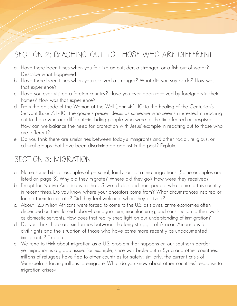# SECTION 2: REACHING OUT TO THOSE WHO ARE DIFFERENT

- a. Have there been times when you felt like an outsider, a stranger, or a fish out of water? Describe what happened.
- b. Have there been times when you received a stranger? What did you say or do? How was that experience?
- c. Have you ever visited a foreign country? Have you ever been received by foreigners in their homes? How was that experience?
- d. From the episode of the Woman at the Well (John 4:1-10) to the healing of the Centurion's Servant (Luke 7:1-10), the gospels present Jesus as someone who seems interested in reaching out to those who are different—including people who were at the time feared or despised. How can we balance the need for protection with Jesus' example in reaching out to those who are different?
- e. Do you think there are similarities between today's immigrants and other racial, religious, or cultural groups that have been discriminated against in the past? Explain.

### SECTION 3: MIGRATION

- a. Name some biblical examples of personal, family, or communal migrations. (Some examples are listed on page 3). Why did they migrate? Where did they go? How were they received?
- b. Except for Native Americans, in the U.S. we all descend from people who came to this country in recent times. Do you know where your ancestors come from? What circumstances inspired or forced them to migrate? Did they feel welcome when they arrived?
- c. About 12.5 million Africans were forced to come to the U.S. as slaves. Entire economies often depended on their forced labor—from agriculture, manufacturing, and construction to their work as domestic servants. How does that reality shed light on our understanding of immigration?
- d. Do you think there are similarities between the long struggle of African Americans for civil rights and the situation of those who have come more recently as undocumented immigrants? Explain.
- e. We tend to think about migration as a U.S. problem that happens on our southern border, yet migration is a global issue. For example, since war broke out in Syria and other countries, millions of refugees have fled to other countries for safety; similarly, the current crisis of Venezuela is forcing millions to emigrate. What do you know about other countries' response to migration crises?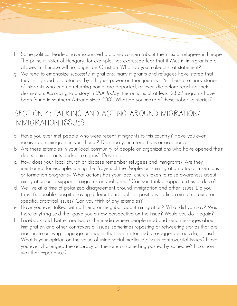- f. Some political leaders have expressed profound concern about the influx of refugees in Europe. The prime minister of Hungary, for example, has expressed fear that if Muslim immigrants are allowed in, Europe will no longer be Christian. What do you make of that statement?
- g. We tend to emphasize successful migrations; many migrants and refugees have stated that they felt guided or protected by a higher power on their journeys. Yet there are many stories of migrants who end up returning home, are deported, or even die before reaching their destination. According to a story in USA Today, the remains of at least 2,832 migrants have been found in southern Arizona since 2001. What do you make of these sobering stories?

#### Section 4: Talking and Acting around Migration/ Immigration Issues

- a. Have you ever met people who were recent immigrants to this country? Have you ever received an immigrant in your home? Describe your interactions or experiences.
- b. Are there examples in your local community of people or organizations who have opened their doors to immigrants and/or refugees? Describe.
- c. How does your local church or diocese remember refugees and immigrants? Are they mentioned, for example, during the Prayers of the People, or is immigration a topic in sermons or formation programs? What actions has your local church taken to raise awareness about immigration or to support immigrants and refugees? Can you think of opportunities to do so?
- d. We live at a time of polarized disagreement around immigration and other issues. Do you think it's possible, despite having different philosophical positions, to find common ground on specific, practical issues? Can you think of any examples?
- e. Have you ever talked with a friend or neighbor about immigration? What did you say? Was there anything said that gave you a new perspective on the issue? Would you do it again?
- f. Facebook and Twitter are two of the media where people read and send messages about immigration and other controversial issues, sometimes reposting or retweeting stories that are inaccurate or using language or images that seem intended to exaggerate, ridicule, or insult. What is your opinion on the value of using social media to discuss controversial issues? Have you ever challenged the accuracy or the tone of something posted by someone? If so, how was that experience?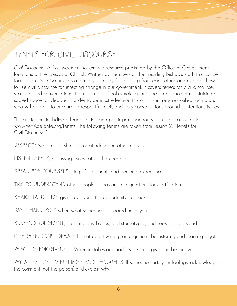# Tenets for Civil Discourse

Civil Discourse: A five-week curriculum is a resource published by the Office of Government Relations of the Episcopal Church. Written by members of the Presiding Bishop's staff, this course focuses on civil discourse as a primary strategy for learning from each other and explores how to use civil discourse for effecting change in our government. It covers tenets for civil discourse, values-based conversations, the messiness of policymaking, and the importance of maintaining a sacred space for debate. In order to be most effective, this curriculum requires skilled facilitators who will be able to encourage respectful, civil, and holy conversations around contentious issues.

The curriculum, including a leader guide and participant handouts, can be accessed at: www.VenAdelante.org/tenets. The following tenets are taken from Lesson 2, "Tenets for Civil Discourse."

RESPECT: No blaming, shaming, or attacking the other person.

LISTEN DEEPLY, discussing issues rather than people.

SPEAK FOR YOURSELF using "I" statements and personal experiences.

TRY TO UNDERSTAND other people's ideas and ask questions for clarification.

SHARE TALK TIME, giving everyone the opportunity to speak.

SAY "THANK YOU" when what someone has shared helps you.

SUSPEND JUDGMENT, presumptions, biases, and stereotypes, and seek to understand.

DISA GREE, DON'T DEBATE: It's not about winning an argument, but listening and learning together.

PRACTICE FOR GIVENESS: When mistakes are made, seek to forgive and be forgiven.

PAY ATTENTION TO FEELINGS AND THOUGHTS. If someone hurts your feelings, acknowledge the comment (not the person) and explain why.